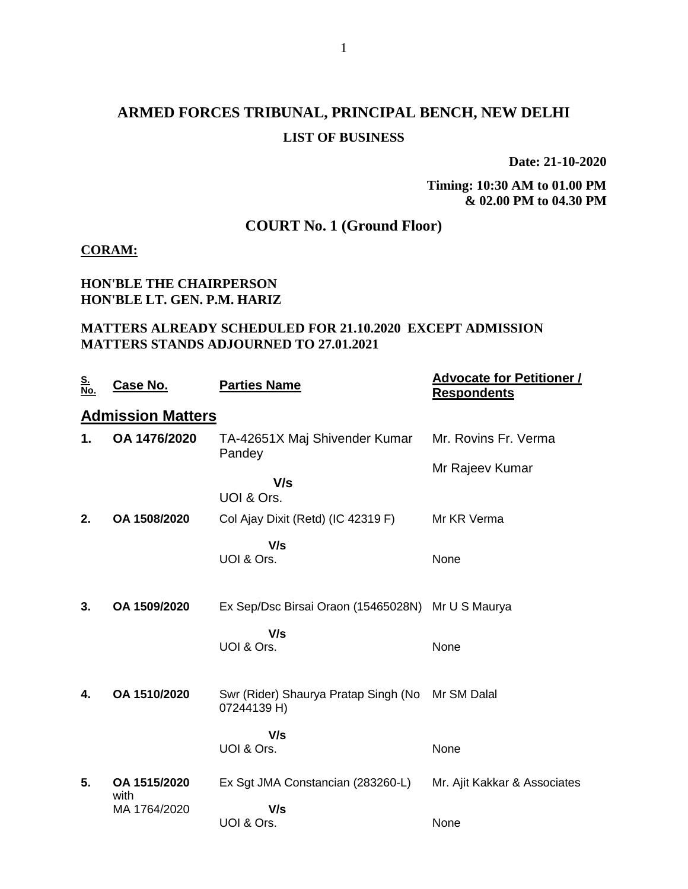# **ARMED FORCES TRIBUNAL, PRINCIPAL BENCH, NEW DELHI LIST OF BUSINESS**

**Date: 21-10-2020**

**Timing: 10:30 AM to 01.00 PM & 02.00 PM to 04.30 PM**

# **COURT No. 1 (Ground Floor)**

#### **CORAM:**

### **HON'BLE THE CHAIRPERSON HON'BLE LT. GEN. P.M. HARIZ**

## **MATTERS ALREADY SCHEDULED FOR 21.10.2020 EXCEPT ADMISSION MATTERS STANDS ADJOURNED TO 27.01.2021**

| <u>S.<br/>No.</u>        | <b>Case No.</b>      | <b>Parties Name</b>                                 | <b>Advocate for Petitioner /</b><br><b>Respondents</b> |  |  |  |  |
|--------------------------|----------------------|-----------------------------------------------------|--------------------------------------------------------|--|--|--|--|
| <b>Admission Matters</b> |                      |                                                     |                                                        |  |  |  |  |
| 1.                       | OA 1476/2020         | TA-42651X Maj Shivender Kumar<br>Pandey             | Mr. Rovins Fr. Verma                                   |  |  |  |  |
|                          |                      |                                                     | Mr Rajeev Kumar                                        |  |  |  |  |
|                          |                      | V/s<br>UOI & Ors.                                   |                                                        |  |  |  |  |
| 2.                       | OA 1508/2020         | Col Ajay Dixit (Retd) (IC 42319 F)                  | Mr KR Verma                                            |  |  |  |  |
|                          |                      | V/s<br>UOI & Ors.                                   | None                                                   |  |  |  |  |
|                          |                      |                                                     |                                                        |  |  |  |  |
| 3.                       | OA 1509/2020         | Ex Sep/Dsc Birsai Oraon (15465028N) Mr U S Maurya   |                                                        |  |  |  |  |
|                          |                      | V/s                                                 |                                                        |  |  |  |  |
|                          |                      | UOI & Ors.                                          | None                                                   |  |  |  |  |
|                          |                      |                                                     |                                                        |  |  |  |  |
| 4.                       | OA 1510/2020         | Swr (Rider) Shaurya Pratap Singh (No<br>07244139 H) | Mr SM Dalal                                            |  |  |  |  |
|                          |                      | V/s                                                 |                                                        |  |  |  |  |
|                          |                      | UOI & Ors.                                          | None                                                   |  |  |  |  |
| 5.                       | OA 1515/2020<br>with | Ex Sgt JMA Constancian (283260-L)                   | Mr. Ajit Kakkar & Associates                           |  |  |  |  |
|                          | MA 1764/2020         | V/s                                                 |                                                        |  |  |  |  |
|                          |                      | UOI & Ors.                                          | None                                                   |  |  |  |  |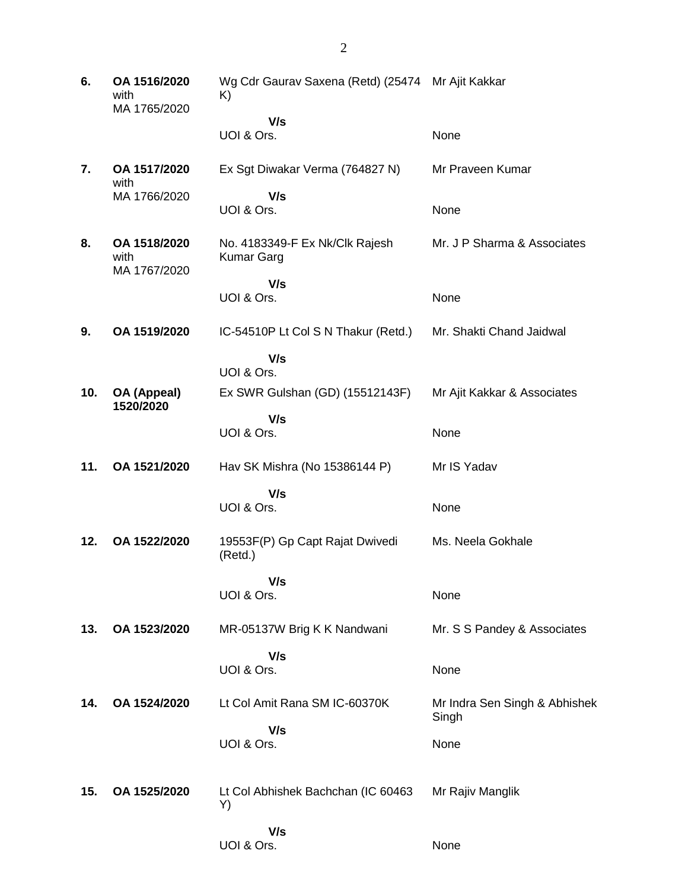**6. OA 1516/2020** with MA 1765/2020 Wg Cdr Gaurav Saxena (Retd) (25474 Mr Ajit Kakkar K)  **V/s** UOI & Ors. None **7. OA 1517/2020** with MA 1766/2020 Ex Sgt Diwakar Verma (764827 N)  **V/s** UOI & Ors. Mr Praveen Kumar None **8. OA 1518/2020** with MA 1767/2020 No. 4183349-F Ex Nk/Clk Rajesh Kumar Garg  **V/s** UOI & Ors. Mr. J P Sharma & Associates None **9. OA 1519/2020** IC-54510P Lt Col S N Thakur (Retd.)  **V/s** UOI & Ors. Mr. Shakti Chand Jaidwal **10. OA (Appeal) 1520/2020** Ex SWR Gulshan (GD) (15512143F)  **V/s** UOI & Ors. Mr Ajit Kakkar & Associates None **11. OA 1521/2020** Hav SK Mishra (No 15386144 P)  **V/s** UOI & Ors. Mr IS Yadav None **12. OA 1522/2020** 19553F(P) Gp Capt Rajat Dwivedi (Retd.)  **V/s** UOI & Ors. Ms. Neela Gokhale None **13. OA 1523/2020** MR-05137W Brig K K Nandwani  **V/s** UOI & Ors. Mr. S S Pandey & Associates None **14. OA 1524/2020** Lt Col Amit Rana SM IC-60370K  **V/s** UOI & Ors. Mr Indra Sen Singh & Abhishek Singh None **15. OA 1525/2020** Lt Col Abhishek Bachchan (IC 60463 Y)  **V/s** UOI & Ors. Mr Rajiv Manglik None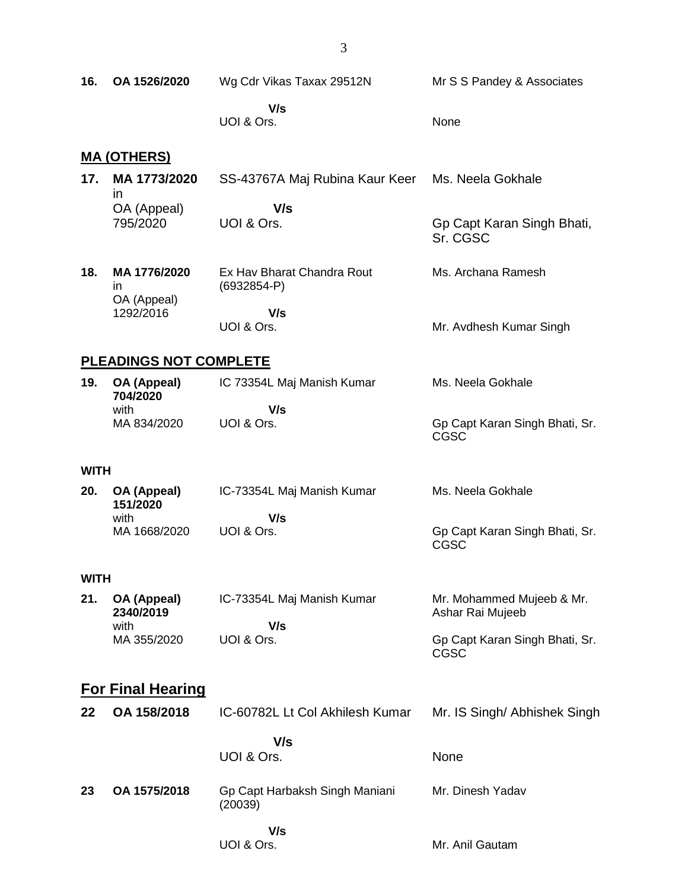| 16.                      | OA 1526/2020                            | Wg Cdr Vikas Taxax 29512N                   | Mr S S Pandey & Associates                    |  |  |  |
|--------------------------|-----------------------------------------|---------------------------------------------|-----------------------------------------------|--|--|--|
|                          |                                         | V/s<br>UOI & Ors.                           | None                                          |  |  |  |
|                          | <u>MA (OTHERS)</u>                      |                                             |                                               |  |  |  |
| 17.                      | MA 1773/2020                            | SS-43767A Maj Rubina Kaur Keer              | Ms. Neela Gokhale                             |  |  |  |
|                          | $\mathsf{I}$<br>OA (Appeal)<br>795/2020 | V/s<br>UOI & Ors.                           | Gp Capt Karan Singh Bhati,<br>Sr. CGSC        |  |  |  |
| 18.                      | MA 1776/2020<br>in                      | Ex Hav Bharat Chandra Rout<br>$(6932854-P)$ | Ms. Archana Ramesh                            |  |  |  |
|                          | OA (Appeal)<br>1292/2016                | V/s<br>UOI & Ors.                           | Mr. Avdhesh Kumar Singh                       |  |  |  |
|                          | <b>PLEADINGS NOT COMPLETE</b>           |                                             |                                               |  |  |  |
| 19.                      | OA (Appeal)<br>704/2020                 | IC 73354L Maj Manish Kumar                  | Ms. Neela Gokhale                             |  |  |  |
|                          | with<br>MA 834/2020                     | V/s<br>UOI & Ors.                           | Gp Capt Karan Singh Bhati, Sr.<br>CGSC        |  |  |  |
| <b>WITH</b>              |                                         |                                             |                                               |  |  |  |
| 20.                      | OA (Appeal)                             | IC-73354L Maj Manish Kumar                  | Ms. Neela Gokhale                             |  |  |  |
|                          | 151/2020<br>with                        | V/s                                         |                                               |  |  |  |
|                          | MA 1668/2020                            | UOI & Ors.                                  | Gp Capt Karan Singh Bhati, Sr.<br>CGSC        |  |  |  |
| <b>WITH</b>              |                                         |                                             |                                               |  |  |  |
| 21.                      | OA (Appeal)<br>2340/2019<br>with        | IC-73354L Maj Manish Kumar<br>V/s           | Mr. Mohammed Mujeeb & Mr.<br>Ashar Rai Mujeeb |  |  |  |
|                          | MA 355/2020                             | UOI & Ors.                                  | Gp Capt Karan Singh Bhati, Sr.<br><b>CGSC</b> |  |  |  |
| <b>For Final Hearing</b> |                                         |                                             |                                               |  |  |  |
| 22                       | OA 158/2018                             | IC-60782L Lt Col Akhilesh Kumar             | Mr. IS Singh/ Abhishek Singh                  |  |  |  |
|                          |                                         | V/s<br>UOI & Ors.                           | None                                          |  |  |  |
| 23                       | OA 1575/2018                            | Gp Capt Harbaksh Singh Maniani<br>(20039)   | Mr. Dinesh Yadav                              |  |  |  |
|                          |                                         | V/s<br>UOI & Ors.                           | Mr. Anil Gautam                               |  |  |  |